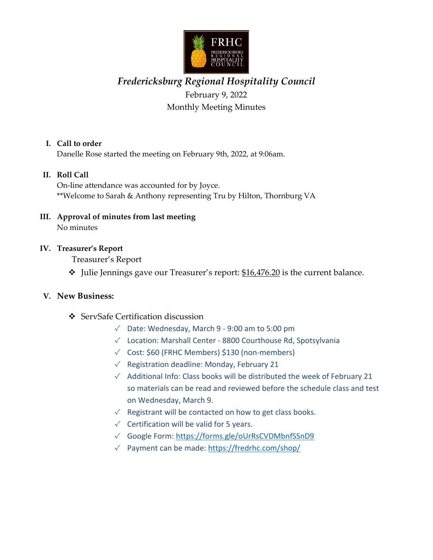

# *Fredericksburg Regional Hospitality Council* February 9, 2022 Monthly Meeting Minutes

#### **I. Call to order**

Danelle Rose started the meeting on February 9th, 2022, at 9:06am.

### **II. Roll Call**

On‐line attendance was accounted for by Joyce. \*\*Welcome to Sarah & Anthony representing Tru by Hilton, Thornburg VA

**III. Approval of minutes from last meeting** No minutes

#### **IV. Treasurer's Report**

Treasurer's Report

 $\cdot$  Julie Jennings gave our Treasurer's report: \$16,476.20 is the current balance.

#### **V. New Business:**

- ServSafe Certification discussion
	- √ Date: Wednesday, March 9 ‐ 9:00 am to 5:00 pm
	- √ Location: Marshall Center ‐ 8800 Courthouse Rd, Spotsylvania
	- √ Cost: \$60 (FRHC Members) \$130 (non‐members)
	- √ Registration deadline: Monday, February 21
	- √ Additional Info: Class books will be distributed the week of February 21 so materials can be read and reviewed before the schedule class and test on Wednesday, March 9.
	- $\sqrt{\phantom{a}}$  Registrant will be contacted on how to get class books.
	- $\checkmark$  Certification will be valid for 5 years.
	- √ Google Form: https://forms.gle/oUrRsCVDMbnfSSnD9
	- √ Payment can be made: https://fredrhc.com/shop/